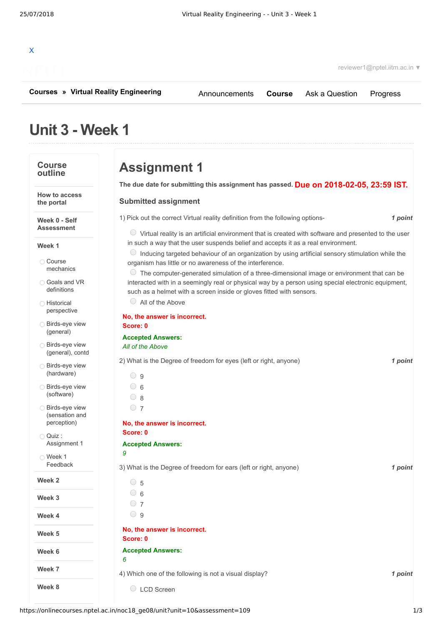

reviewer1@nptel.iitm.ac.in ▼

**[Courses](https://onlinecourses.nptel.ac.in/) » [Virtual Reality Engineering](https://onlinecourses.nptel.ac.in/noc18_ge08/course)**

[Announcements](https://onlinecourses.nptel.ac.in/noc18_ge08/announcements) **[Course](https://onlinecourses.nptel.ac.in/noc18_ge08/course)** [Ask a Question](https://onlinecourses.nptel.ac.in/noc18_ge08/forum) [Progress](https://onlinecourses.nptel.ac.in/noc18_ge08/student/home)

# **Unit 3 - Week 1**

# **Course outline**

**How to access the portal**

**Week 0 - Self Assessment**

### **Week 1**

Course [mechanics](https://onlinecourses.nptel.ac.in/noc18_ge08/unit?unit=10&lesson=24)

Goals and VR [definitions](https://onlinecourses.nptel.ac.in/noc18_ge08/unit?unit=10&lesson=25)

**O** Historical [perspective](https://onlinecourses.nptel.ac.in/noc18_ge08/unit?unit=10&lesson=26)

**[Birds-eye](https://onlinecourses.nptel.ac.in/noc18_ge08/unit?unit=10&lesson=27) view** (general)

Birds-eye view [\(general\),](https://onlinecourses.nptel.ac.in/noc18_ge08/unit?unit=10&lesson=28) contd

**Birds-eye view** [\(hardware\)](https://onlinecourses.nptel.ac.in/noc18_ge08/unit?unit=10&lesson=29)

**Birds-eye view** [\(software\)](https://onlinecourses.nptel.ac.in/noc18_ge08/unit?unit=10&lesson=30)

**Birds-eye view** (sensation and [perception\)](https://onlinecourses.nptel.ac.in/noc18_ge08/unit?unit=10&lesson=31)

Quiz : [Assignment](https://onlinecourses.nptel.ac.in/noc18_ge08/assessment?name=109) 1

Week 1 [Feedback](https://onlinecourses.nptel.ac.in/noc18_ge08/unit?unit=10&lesson=113)

**Week 2**

**Week 3**

**Week 4**

**Week 5**

**Week 6**

**Week 7**

**Week 8**

**Assignment 1**

**Due on 2018-02-05, 23:59 IST. The due date for submitting this assignment has passed.**

# **Submitted assignment**

1) *1 point* Pick out the correct Virtual reality definition from the following options-

 $\circ$  Virtual reality is an artificial environment that is created with software and presented to the user in such a way that the user suspends belief and accepts it as a real environment.

 $\circ$  Inducing targeted behaviour of an organization by using artificial sensory stimulation while the organism has little or no awareness of the interference.

 $\bullet$  The computer-generated simulation of a three-dimensional image or environment that can be interacted with in a seemingly real or physical way by a person using special electronic equipment, such as a helmet with a screen inside or gloves fitted with sensors.

All of the Above

## **No, the answer is incorrect. Score: 0**

### **Accepted Answers:** *All of the Above*

2) *1 point* What is the Degree of freedom for eyes (left or right, anyone)

 $\bigcirc$  9  $\circ$  6  $\bigcirc$  8  $\circ$  7 **No, the answer is incorrect. Score: 0**

#### **Accepted Answers:** *9*

3) *1 point* What is the Degree of freedom for ears (left or right, anyone)

- 5  $\circ$  6  $\bigcirc$  7  $\bigcirc$  9
- **No, the answer is incorrect. Score: 0**
- **Accepted Answers:** *6*

4) *1 point* Which one of the following is not a visual display?

C LCD Screen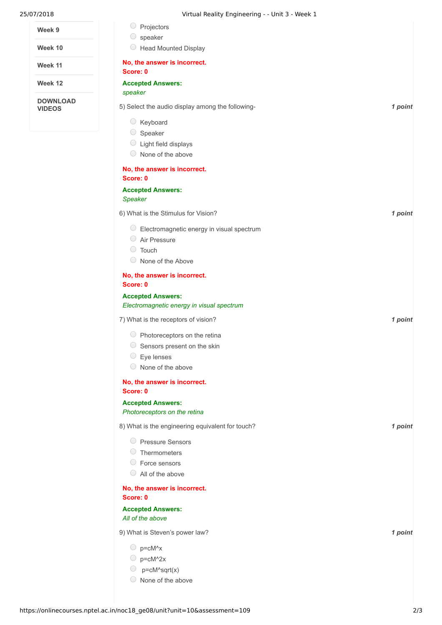| 25/07/2018 | Virtual Reality Engineering - - Unit 3 - Week 1 |
|------------|-------------------------------------------------|

| Week 9                           | Projectors                                                            |         |
|----------------------------------|-----------------------------------------------------------------------|---------|
| Week 10                          | speaker<br>O<br><b>Head Mounted Display</b>                           |         |
| Week 11                          | No, the answer is incorrect.                                          |         |
|                                  | Score: 0                                                              |         |
| Week 12                          | <b>Accepted Answers:</b><br>speaker                                   |         |
| <b>DOWNLOAD</b><br><b>VIDEOS</b> | 5) Select the audio display among the following-                      | 1 point |
|                                  | Keyboard                                                              |         |
|                                  | Speaker                                                               |         |
|                                  | Light field displays                                                  |         |
|                                  | $\circ$ None of the above                                             |         |
|                                  | No, the answer is incorrect.<br>Score: 0                              |         |
|                                  | <b>Accepted Answers:</b><br>Speaker                                   |         |
|                                  | 6) What is the Stimulus for Vision?                                   | 1 point |
|                                  | $\circ$ Electromagnetic energy in visual spectrum                     |         |
|                                  | Air Pressure                                                          |         |
|                                  | <b>C</b> Touch                                                        |         |
|                                  | $\bigcirc$<br>None of the Above                                       |         |
|                                  | No, the answer is incorrect.<br>Score: 0                              |         |
|                                  | <b>Accepted Answers:</b><br>Electromagnetic energy in visual spectrum |         |
|                                  | 7) What is the receptors of vision?                                   | 1 point |
|                                  | $\circ$ Photoreceptors on the retina                                  |         |
|                                  | $\bigcirc$<br>Sensors present on the skin                             |         |
|                                  | $\circ$ Eye lenses                                                    |         |
|                                  | $\circ$ None of the above                                             |         |
|                                  | No, the answer is incorrect.<br>Score: 0                              |         |
|                                  | <b>Accepted Answers:</b><br>Photoreceptors on the retina              |         |
|                                  | 8) What is the engineering equivalent for touch?                      | 1 point |
|                                  | Pressure Sensors                                                      |         |
|                                  | $\circ$ Thermometers                                                  |         |
|                                  | ◯ Force sensors                                                       |         |
|                                  | $\bigcirc$ All of the above                                           |         |
|                                  | No, the answer is incorrect.<br>Score: 0                              |         |
|                                  | <b>Accepted Answers:</b>                                              |         |
|                                  | All of the above                                                      |         |
|                                  | 9) What is Steven's power law?                                        | 1 point |
|                                  | $\bigcirc$ p=cM^x                                                     |         |
|                                  | p=cM^2x                                                               |         |
|                                  | $p = cM \text{ and } x$                                               |         |
|                                  | None of the above                                                     |         |